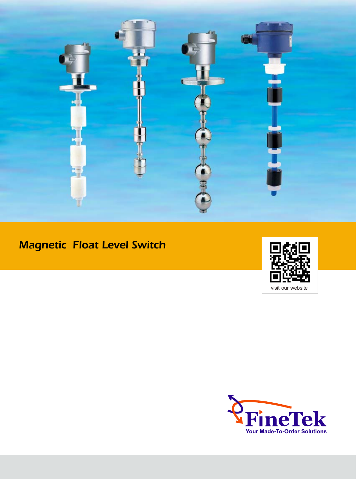

# Magnetic Float Level Switch



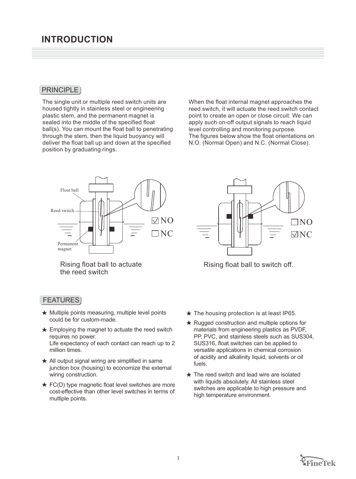#### **PRINCIPLE**

The single unit or multiple reed switch units are housed tightly in stainless steel or engineering plastic stem, and the permanent magnet is sealed into the middle of the specified float ball(s). You can mount the float ball to penetrating through the stem, then the liquid buoyancy will deliver the float ball up and down at the specified position by graduating rings.

When the float internal magnet approaches the reed switch, it will actuate the reed switch contact point to create an open or close circuit. We can apply such on-off output signals to reach liquid level controlling and monitoring purpose. The figures below show the float orientations on N.O. (Normal Open) and N.C. (Normal Close).



Rising float ball to actuate the reed switch

#### FEATURES

- $\star$  Multiple points measuring, multiple level points could be for custom-made.
- $\star$  Employing the magnet to actuate the reed switch requires no power. Life expectancy of each contact can reach up to 2 million times.
- $\star$  All output signal wiring are simplified in same junction box (housing) to economize the external wiring construction.
- $\star$  FC(D) type magnetic float level switches are more cost-effective than other level switches in terms of multiple points.



Rising float ball to switch off.

- $\star$  The housing protection is at least IP65.
- $\star$  Rugged construction and multiple options for materials from engineering plastics as PVDF, PP, PVC, and stainless steels such as SUS304, SUS316, float switches can be applied to versatile applications in chemical corrosion of acidity and alkalinity liquid, solvents or oil fuels.
- $\star$  The reed switch and lead wire are isolated with liquids absolutely. All stainless steel switches are applicable to high pressure and high temperature environment.

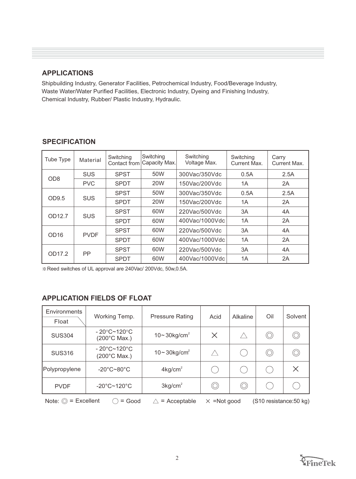#### **APPLICATIONS**

Shipbuilding Industry, Generator Facilities, Petrochemical Industry, Food/Beverage Industry, Waste Water/Water Purified Facilities, Electronic Industry, Dyeing and Finishing Industry, Chemical Industry, Rubber/ Plastic Industry, Hydraulic.

| Tube Type           | Material    | Switching<br>Contact from | Switching<br>Capacity Max. | Switching<br>Voltage Max. | Switching<br>Current Max. | Carry<br>Current Max. |
|---------------------|-------------|---------------------------|----------------------------|---------------------------|---------------------------|-----------------------|
| <b>SUS</b>          |             | <b>SPST</b>               | 50W                        | 300Vac/350Vdc             | 0.5A                      | 2.5A                  |
| OD <sub>8</sub>     | <b>PVC</b>  | <b>SPDT</b>               | 20W                        | 150Vac/200Vdc             | 1A                        | 2A                    |
| OD9.5<br><b>SUS</b> | <b>SPST</b> | 50W                       | 300Vac/350Vdc              | 0.5A                      | 2.5A                      |                       |
|                     |             | <b>SPDT</b>               | 20W                        | 150Vac/200Vdc             | 1A                        | 2A                    |
| OD12.7              | <b>SUS</b>  | <b>SPST</b>               | 60W                        | 220Vac/500Vdc             | 3A                        | 4A                    |
|                     |             | <b>SPDT</b>               | 60W                        | 400Vac/1000Vdc            | 1A                        | 2A                    |
|                     | <b>PVDF</b> | <b>SPST</b>               | 60W                        | 220Vac/500Vdc             | 3A                        | 4A                    |
| OD <sub>16</sub>    |             | <b>SPDT</b>               | 60W                        | 400Vac/1000Vdc            | 1A                        | 2A                    |
|                     |             | <b>SPST</b>               | 60W                        | 220Vac/500Vdc             | 3A                        | 4A                    |
| OD17.2              | PP          | <b>SPDT</b>               | 60W                        | 400Vac/1000Vdc            | 1A                        | 2A                    |

### **SPECIFICATION**

※Reed switches of UL approval are 240Vac/ 200Vdc, 50w,0.5A.

# **APPLICATION FIELDS OF FLOAT**

| Environments<br>Float                                                                                          | Working Temp.                                              | <b>Pressure Rating</b>       | Acid           | Alkaline | Oil | Solvent  |  |
|----------------------------------------------------------------------------------------------------------------|------------------------------------------------------------|------------------------------|----------------|----------|-----|----------|--|
| <b>SUS304</b>                                                                                                  | $-20^{\circ}$ C~120 $^{\circ}$ C<br>$(200^{\circ}$ C Max.) | $10-30$ kg/cm <sup>2</sup>   | $\times$       | ╱        | ⊙   |          |  |
| <b>SUS316</b>                                                                                                  | $-20^{\circ}$ C~120 $^{\circ}$ C<br>(200°C Max.)           | $10 - 30$ kg/cm <sup>2</sup> | $\land$        | i.       | O)  |          |  |
| Polypropylene                                                                                                  | $-20^{\circ}$ C $-80^{\circ}$ C                            | $4$ kg/cm <sup>2</sup>       | in.            |          |     | $\times$ |  |
| <b>PVDF</b>                                                                                                    | $-20^{\circ}$ C~120 $^{\circ}$ C                           | 3kg/cm <sup>2</sup>          | $\circledcirc$ | O        |     |          |  |
| Note: $\circledcirc$ = Excellent<br>$=$ Good<br>$=$ Acceptable<br>$\times$ =Not good<br>(S10 resistance:50 kg) |                                                            |                              |                |          |     |          |  |

Note:  $\circledcirc$  = Excellent  $\circlearrowright$  = Good

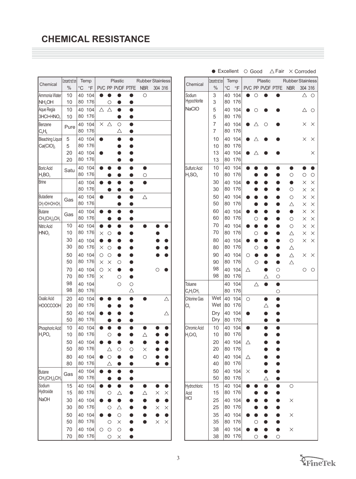|                                        | Concentration |                 | Temp       |            |              | Plastic                |              | <b>Rubber Stainless</b> |           |          |
|----------------------------------------|---------------|-----------------|------------|------------|--------------|------------------------|--------------|-------------------------|-----------|----------|
| Chemical                               | $\%$          | $\rm ^{\circ}C$ | $\circ$ F  |            |              | PVC PP PVDF PTFE       |              | <b>NBR</b>              | 304 316   |          |
| Ammonia Water                          | 10            | 40              | 104        |            |              |                        |              | $\circ$                 |           |          |
| NH <sub>4</sub> OH                     | 10            | 80              | 176        |            | О            | $\bullet$              | 0            |                         |           |          |
| Aque Regia                             | 10            | 40              | 104        | Δ          | Δ            | $\bullet$              | $\bullet$    |                         |           |          |
| 3HCl+HNO <sub>3</sub>                  | 10            | 80              | 176        |            |              | ð                      | 0            |                         |           |          |
| Benzene                                | Pure          | 40<br>80        | 104<br>176 | $\times$   | Δ            | $\circ$<br>Δ           | ●<br>O       |                         |           |          |
| $C_6H_6$<br><b>Bleaching Liquor</b>    |               | 40              | 104        |            |              | O                      |              |                         |           |          |
| $Ca(CIO)_{2}$                          | 5<br>5        | 80              | 176        |            |              |                        |              |                         |           |          |
|                                        | 20            | 40              | 104        |            |              |                        |              |                         |           |          |
|                                        | 20            | 80              | 176        |            |              |                        |              |                         |           |          |
| Boric Acid                             | Satu          | 40              | 104        |            |              | 0                      |              | 0                       |           |          |
| $H_3BO_3$                              |               | 80              | 176        |            |              |                        |              | $\circ$                 |           |          |
| <b>Brine</b>                           |               | 40              | 104        |            |              | $\bullet$              | 0            |                         |           |          |
|                                        |               | 80              | 176        |            | D            | O                      | o            |                         |           |          |
| <b>Butadiene</b>                       | Gas           | 40              | 104        |            |              | $\bullet$              | O            | Δ                       |           |          |
| CH <sub>2</sub> =CH=CH=CH <sub>2</sub> |               | 80              | 176        |            |              |                        |              |                         |           |          |
| <b>Butane</b><br>$CH3(CH2)2CH3$        | Gas           | 40<br>80        | 104<br>176 |            |              |                        |              |                         |           |          |
| Nitric Acid                            | 10            | 40              | 104        |            |              |                        |              |                         |           |          |
| HNO <sub>3</sub>                       | 10            | 80              | 176        | $\times$   | О            |                        |              |                         |           |          |
|                                        | 30            | 40              | 104        | ð          |              |                        |              |                         |           |          |
|                                        | 30            | 80              | 176        | $\times$   | $\circ$      |                        |              |                         |           |          |
|                                        | 50            | 40              | 104        | $\circ$    | $\circ$      |                        |              |                         |           |          |
|                                        | 50            | 80              | 176        | $\times$   | $\times$     | $\circ$                |              |                         |           |          |
|                                        | 70            | 40              | 104        | $\circ$    | ×            | $\bullet$              |              |                         |           |          |
|                                        | 70            | 80              | 176        | $\times$   |              | $\circ$                | O            |                         |           |          |
|                                        | 98<br>98      | 40<br>80        | 104<br>176 |            |              | $\circ$                | $\circ$<br>Δ |                         |           |          |
| Oxalic Acid                            | 20            | 40              | 104        |            |              |                        |              |                         |           | Δ        |
| <b>HOOCCOOH</b>                        | 20            | 80              | 176        |            |              |                        |              |                         |           |          |
|                                        | 50            | 40              | 104        |            |              |                        |              |                         |           | Δ        |
|                                        | 50            | 80              | 176        |            |              |                        |              |                         |           |          |
| Phosphoric Acid                        | 10            | 40              | 104        |            |              |                        |              |                         |           |          |
| $H_3$ PO $_4$                          | 10            | 80              | 176        |            | $\circ$      |                        |              |                         |           |          |
|                                        | 50            | 40              | 104        |            |              |                        |              |                         |           |          |
|                                        | 50            | 80              | 176        |            |              | $\circ$                | О            | $\times$                |           |          |
|                                        | 80            | 40              | 104        |            | $\circ$      | $\bullet$              | ●            | $\circ$                 |           |          |
|                                        | 80            | 80              | 176        |            | $\triangle$  | $\bullet$              | $\bullet$    |                         | $\bullet$ |          |
| <b>Butane</b><br>$CH3(CH2)2CH3$        | Gas           | 40<br>80        | 104<br>176 |            | ●            | $\bullet$<br>$\bullet$ | O<br>O       |                         |           |          |
| Sodium                                 | 15            | 40              | 104        |            | ●            | $\bullet$              |              |                         |           |          |
| Hydroxide                              | 15            | 80              | 176        |            | $\circ$      | $\triangle$            |              | Δ                       | $\times$  | $\times$ |
| NaOH                                   | 30            | 40              | 104        |            | ●            | $\bullet$              |              |                         | D         |          |
|                                        | 30            | 80              | 176        |            | $\circ$      | $\triangle$            |              |                         | $\times$  | $\times$ |
|                                        | 50<br>50      | 40<br>80        | 104<br>176 |            | Ô<br>$\circ$ | $\circ$<br>$\times$    |              |                         | $\times$  | $\times$ |
|                                        | 70            | 40              | 104        | $\bigcirc$ | $\circ$      | $\circ$                |              |                         |           |          |
|                                        | 70            | 80              | 176        |            | $\bigcirc$   | $\times$               | $\bullet$    |                         |           |          |

|                              | Excellent     |                 |                | ○ Good   |            |                  | $\triangle$ Fair |                         | $\times$ Corroded    |                      |
|------------------------------|---------------|-----------------|----------------|----------|------------|------------------|------------------|-------------------------|----------------------|----------------------|
| Chemical                     | Concentration |                 | Temp           |          |            | Plastic          |                  | <b>Rubber Stainless</b> |                      |                      |
|                              | $\%$          | $\rm ^{\circ}C$ | $\overline{F}$ |          |            | PVC PP PVDF PTFE |                  | <b>NBR</b>              | 304 316              |                      |
| Sodium                       | 3             | 40              | 104            |          | О          |                  |                  |                         | Δ                    | О                    |
| Hypochlorite<br><b>NaCIO</b> | 3             | 80              | 176            |          |            |                  |                  |                         |                      |                      |
|                              | 5<br>5        | 40<br>80        | 104<br>176     |          | О          |                  |                  |                         | Δ                    | О                    |
|                              | 7             | 40              | 104            |          | Δ          | О                |                  |                         | ×                    | ×                    |
|                              | 7             | 80              | 176            |          |            |                  |                  |                         |                      |                      |
|                              | 10            | 40              | 104            |          | △          |                  |                  |                         | $\times$             | $\times$             |
|                              | 10            | 80              | 176            |          |            |                  |                  |                         |                      |                      |
|                              | 13            | 40              | 104            |          | Δ          |                  |                  |                         |                      | $\times$             |
|                              | 13            | 80              | 176            |          |            |                  |                  |                         |                      |                      |
| Sulfuric Acid                | 10            | 40              | 104            |          |            |                  |                  |                         |                      |                      |
| $H_2SO_4$                    | 10            | 80              | 176            |          |            |                  |                  | $\circ$                 | $\circ$              | $\bigcirc$           |
|                              | 30<br>30      | 40<br>80        | 104<br>176     |          |            |                  |                  | D<br>$\bigcirc$         | $\times$             | $\times$             |
|                              | 50            | 40              | 104            |          |            |                  |                  | $\circ$                 | $\times$<br>$\times$ | $\times$<br>$\times$ |
|                              | 50            | 80              | 176            |          |            |                  |                  | Δ                       | $\times$             | $\times$             |
|                              | 60            | 40              | 104            |          |            |                  |                  | $\bullet$               | $\times$             | $\times$             |
|                              | 60            | 80              | 176            |          | О          |                  |                  | $\circ$                 | $\times$             | $\times$             |
|                              | 70            | 40              | 104            |          | ۸          |                  |                  | $\circ$                 | ×                    | $\times$             |
|                              | 70            | 80              | 176            |          | О          |                  |                  | $\triangle$             | $\times$             | $\times$             |
|                              | 80            | 40              | 104            |          | O          |                  |                  | $\circ$                 | $\times$             | $\times$             |
|                              | 80            | 80              | 176            |          | O          |                  |                  | $\triangle$             |                      |                      |
|                              | 90            | 40              | 104            | О        |            |                  |                  | $\triangle$             | ×                    | $\times$             |
|                              | 90<br>98      | 80<br>40        | 176<br>104     |          | $\circ$    |                  | $\circ$          | Δ                       |                      |                      |
|                              | 98            | 80              | 176            | Δ        |            | Δ                | $\circ$          |                         | О                    | О                    |
| Toluene                      |               | 40              | 104            |          | Δ          |                  | $\bullet$        |                         |                      |                      |
| $C_6H_5CH_3$                 |               | 80              | 176            |          |            |                  | $\circ$          |                         |                      |                      |
| <b>Chlorine Gas</b>          | Wet           | 40              | 104            | О        |            | $\bullet$        | ●                |                         |                      |                      |
| Cl <sub>2</sub>              | Wet           | 80              | 176            |          |            | $\triangle$      |                  |                         |                      |                      |
|                              | Dry           | 40              | 104            |          |            |                  |                  |                         |                      |                      |
|                              | Dry           | 80              | 176            |          |            | ۰                |                  |                         |                      |                      |
| Chromic Acid                 | 10            | 40              | 104            |          |            |                  |                  |                         |                      |                      |
| $H_2$ CrO <sub>4</sub>       | 10<br>20      | 80<br>40        | 176<br>104     |          |            |                  |                  |                         |                      |                      |
|                              | 20            | 80              | 176            | Δ        |            |                  |                  |                         |                      |                      |
|                              | 40            | 40              | 104            | Δ        |            |                  |                  |                         |                      |                      |
|                              | 40            | 80              | 176            |          |            |                  |                  |                         |                      |                      |
|                              | 50            | 40              | 104            | $\times$ |            |                  |                  |                         |                      |                      |
|                              | 50            | 80              | 176            |          |            | Δ                |                  |                         |                      |                      |
| Hydrochloric                 | 15            | 40              | 104            | 0        |            |                  |                  | $\circ$                 |                      |                      |
| Acid<br><b>HCI</b>           | 15            | 80              | 176            |          |            |                  |                  |                         |                      |                      |
|                              | 25            | 40              | 104            |          |            |                  |                  | $\times$                |                      |                      |
|                              | 25            | 80              | 176            |          |            |                  |                  |                         |                      |                      |
|                              | 35<br>35      | 40<br>80        | 104<br>176     |          | $\bigcirc$ |                  |                  | $\times$                |                      |                      |
|                              | 38            | 40              | 104            |          | $\bullet$  |                  |                  | $\times$                |                      |                      |
|                              | 38            | 80              | 176            |          | $\circ$    |                  | $\bigcirc$       |                         |                      |                      |

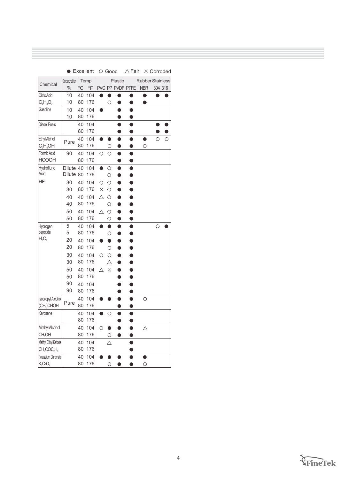|                        |               |             | Excellent      | $\circ$ 6000 |                |                  | ∆ Fair    |                         | x Corroded |   |
|------------------------|---------------|-------------|----------------|--------------|----------------|------------------|-----------|-------------------------|------------|---|
| Chemical               | Concentration |             | Temp           |              |                | Plastic          |           | <b>Rubber Stainless</b> |            |   |
|                        | $\%$          | $^{\circ}C$ | $\overline{F}$ |              |                | PVC PP PVDF PTFE |           | <b>NBR</b>              | 304 316    |   |
| Citric Acid            | 10            | 40          | 104            | O            | O              |                  | 0         |                         |            |   |
| $C_6H_8O_7$            | 10            | 80          | 176            |              | О              |                  |           |                         |            |   |
| Gasoline               | 10            | 40          | 104            |              |                |                  |           |                         |            |   |
|                        | 10            | 80          | 176            |              |                |                  | 0         |                         |            |   |
| <b>Diesel Fuels</b>    |               | 40          | 104            |              |                |                  |           |                         |            |   |
|                        |               | 80          | 176            |              |                |                  |           |                         |            |   |
| Ethyl Alchol           | Pure          | 40          | 104            |              | D              |                  | o         | O                       | O          | O |
| $C_2H_5OH$             |               | 80          | 176            |              | Ó              |                  |           | О                       |            |   |
| Formic Acid            | 90            | 40          | 104            | O            | $\bigcirc$     | ●                | $\bullet$ |                         |            |   |
| <b>HCOOH</b>           |               | 80          | 176            |              |                | O                | O         |                         |            |   |
| Hydrofluric<br>Acid    | <b>Dilute</b> | 40          | 104            | $\bullet$    | О              |                  |           |                         |            |   |
|                        | <b>Dilute</b> | 80          | 176            |              | О              |                  |           |                         |            |   |
| HF                     | 30            | 40          | 104            | О            | $\circ$        |                  |           |                         |            |   |
|                        | 30            | 80          | 176            | $\times$     | $\circ$        |                  |           |                         |            |   |
|                        | 40            | 40          | 104            | Δ            | $\circ$        |                  |           |                         |            |   |
|                        | 40            | 80          | 176            |              | $\circ$        |                  |           |                         |            |   |
|                        | 50            | 40<br>80    | 104            | Δ            | $\circ$        |                  |           |                         |            |   |
|                        | 50<br>5       |             | 176            |              | $\circ$        | O                | O         |                         |            |   |
| Hydrogen<br>peroxide   | 5             | 40<br>80    | 104<br>176     |              | $\bullet$<br>O |                  | 0         |                         | $\circ$    |   |
| $H_2O_2$               | 20            | 40          | 104            |              |                |                  |           |                         |            |   |
|                        | 20            | 80          | 176            |              | О              |                  |           |                         |            |   |
|                        | 30            | 40          | 104            | O            | $\circ$        |                  |           |                         |            |   |
|                        | 30            | 80          | 176            |              | Δ              |                  |           |                         |            |   |
|                        | 50            | 40          | 104            | Δ            | $\times$       |                  |           |                         |            |   |
|                        | 50            | 80          | 176            |              |                |                  |           |                         |            |   |
|                        | 90            | 40          | 104            |              |                |                  |           |                         |            |   |
|                        | 90            | 80          | 176            |              |                |                  |           |                         |            |   |
| Isopropyl Alcohol      |               | 40          | 104            |              |                |                  | O         | $\circ$                 |            |   |
| (CH <sub>3</sub> )CHOH | Pure          | 80          | 176            |              |                |                  |           |                         |            |   |
| Kerosene               |               | 40          | 104            |              | О              |                  |           |                         |            |   |
|                        |               | 80          | 176            |              |                |                  |           |                         |            |   |
| Methyl Alcohol         |               | 40          | 104            | $\circ$      | $\bullet$      |                  |           | Δ                       |            |   |
| CH <sub>3</sub> OH     |               | 80          | 176            |              | О              |                  |           |                         |            |   |
| Methyl Ethyl Ketone    |               | 40          | 104            |              | Δ              |                  |           |                         |            |   |
| $CH3COC2H5$            |               | 80          | 176            |              |                |                  |           |                         |            |   |
| Potassium Chromate     |               | 40          | 104            |              |                |                  |           |                         |            |   |
| $K_2$ CrO <sub>4</sub> |               | 80          | 176            |              | О              | O                |           | О                       |            |   |

 $H$ 

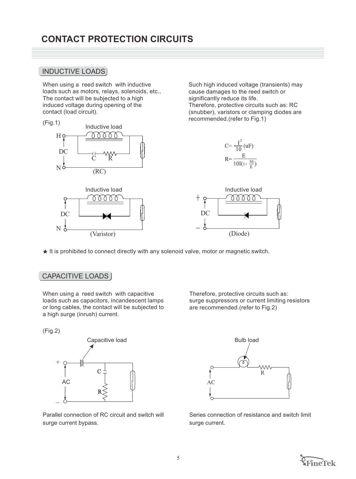## INDUCTIVE LOADS

When using a reed switch with inductive loads such as motors, relays, solenoids, etc., The contact will be subjected to a high induced voltage during opening of the contact (load circuit).

recommended.(refer to Fig.1) (Fig.1) Inductive load 0000 Hç  $C = \frac{I^2}{10}(uF)$ DC  $R = \frac{E}{10I(1+\frac{50}{E})}$ C R N<sub>d</sub> (RC) Inductive load **Inductive load** mm 0000 DC DC  $N<sub>2</sub>$ (Varistor) (Diode)

 $\star$  It is prohibited to connect directly with any solenoid valve, motor or magnetic switch.

#### CAPACITIVE LOADS

When using a reed switch with capacitive loads such as capacitors, incandescent lamps or long cables, the contact will be subjected to a high surge (inrush) current.

(Fig.2)



Parallel connection of RC circuit and switch will surge current bypass.

Therefore, protective circuits such as: surge suppressors or current limiting resistors are recommended.(refer to Fig.2)

Such high induced voltage (transients) may cause damages to the reed switch or

Therefore, protective circuits such as: RC (snubber), varistors or clamping diodes are

significantly reduce its life.



Series connection of resistance and switch limit surge current.

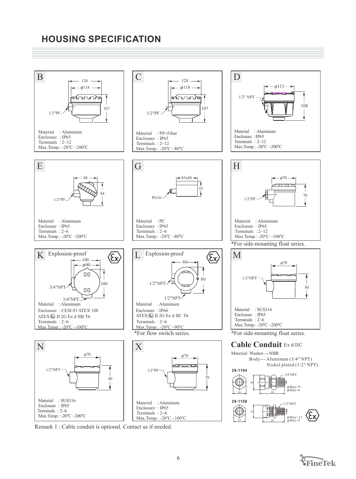# **HOUSING SPECIFICATION**



Remark 1 : Cable conduit is optional. Contact us if needed.

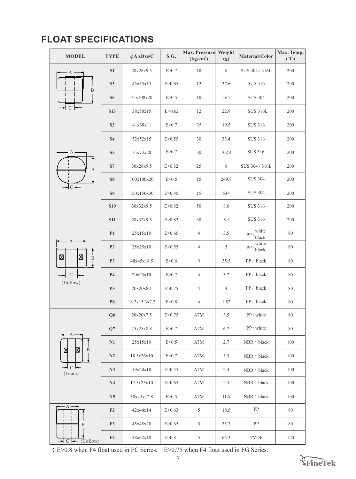# **FLOAT SPECIFICATIONS**

| <b>MODEL</b>                             | <b>TYPE</b>    | $\phi A$ xBx $\phi C$ | S.G.     | Max. Pressure<br>(kg/cm <sup>2</sup> ) | Weight<br>(g)  | Material/Color                  | Max. Temp.<br>$(^{\circ}C)$ |
|------------------------------------------|----------------|-----------------------|----------|----------------------------------------|----------------|---------------------------------|-----------------------------|
| А                                        | S <sub>1</sub> | 28x28x9.5             | E > 0.7  | 10                                     | $\,$ 8 $\,$    | SUS 304 / 316L                  | 200                         |
| $\, {\bf B}$                             | S3             | 45x55x15              | E > 0.65 | 12                                     | 37.6           | <b>SUS 316</b>                  | 200                         |
|                                          | <b>S6</b>      | 75x108x20             | E > 0.5  | 10                                     | 165            | <b>SUS 304</b>                  | 200                         |
| → C ←                                    | <b>S13</b>     | 38x50x15              | E > 0.62 | 12                                     | 22.9           | <b>SUS 316L</b>                 | 200                         |
|                                          | S <sub>2</sub> | 41x38x11              | E > 0.7  | 35                                     | 19.5           | <b>SUS 316</b>                  | 200                         |
|                                          | S <sub>4</sub> | 52x52x15              | E > 0.55 | 30                                     | 33.4           | <b>SUS 316</b>                  | 200                         |
| $A \cdot$                                | S <sub>5</sub> | 75x73x20              | E > 0.7  | 30                                     | 102.4          | <b>SUS 316</b>                  | 200                         |
| B                                        | S7             | 30x28x9.5             | E > 0.82 | 25                                     | 8              | SUS 304 / 316L                  | 200                         |
|                                          | <b>S8</b>      | 100x100x20            | E > 0.5  | 15                                     | 249.7          | <b>SUS 304</b>                  | 200                         |
| ►I CI←                                   | S <sub>9</sub> | 150x150x30            | E > 0.45 | 15                                     | 534            | <b>SUS 304</b>                  | 200                         |
|                                          | <b>S10</b>     | 30x32x9.5             | E > 0.82 | 50                                     | 8.6            | <b>SUS 316</b>                  | 200                         |
|                                          | <b>S11</b>     | 28x32x9.5             | E > 0.82 | 30                                     | 8.1            | <b>SUS 316</b>                  | 200                         |
|                                          | P <sub>1</sub> | 25x15x10              | E > 0.65 | 4                                      | 3.5            | white<br>$PP / \frac{1}{black}$ | 80                          |
| A                                        | P <sub>2</sub> | 25x25x10              | E > 0.55 | 4                                      | 5              | white<br>$\frac{PP}{black}$     | 80                          |
| $\boxtimes$<br>区<br>$\, {\bf B}$         | <b>P3</b>      | 48x45x18.5            | E > 0.6  | 5                                      | 35.5           | PP / black                      | 80                          |
| $\mathcal{C}$<br>$\leftarrow$            | <b>P4</b>      | 20x25x10              | E > 0.7  | 4                                      | 3.7            | PP / black                      | 80                          |
| (Hollow)                                 | P <sub>5</sub> | 20x20x8.1             | E > 0.75 | $\overline{4}$                         | $\overline{4}$ | PP / black                      | 80                          |
|                                          | <b>P8</b>      | 18.2x15.3x7.2         | E > 0.8  | 4                                      | 1.82           | PP / black                      | $80\,$                      |
|                                          | Q <sub>6</sub> | 20x20x7.5             | E > 0.75 | ATM                                    | 3.5            | PP / white                      | 80                          |
| $-A$ .                                   | Q7             | 25x25x8.8             | E > 0.7  | ATM                                    | 6.7            | PP / white                      | 80                          |
|                                          | N1             | 25x15x10              | E > 0.5  | ATM                                    | 2.7            | NBR / black                     | 100                         |
| X<br>B                                   | N2             | 18.5x26x10            | E > 0.7  | ATM                                    | 3.3            | NBR / black                     | 100                         |
| $\rightarrow$ C $\leftarrow$<br>(Foam)   | N3             | 19x20x10              | E > 0.55 | ATM                                    | 2.4            | NBR / black                     | 100                         |
|                                          | N <sub>4</sub> | 17.5x25x10            | E > 0.65 | ATM                                    | 2.5            | NBR / black                     | 100                         |
|                                          | N <sub>5</sub> | 30x45x12.8            | E > 0.5  | ATM                                    | 11.5           | NBR / black                     | 100                         |
| А                                        | F <sub>2</sub> | 42x44x14              | E > 0.63 | 5                                      | 18.5           | PP                              | 80                          |
| B                                        | F3             | 45x45x20              | E > 0.65 | 5                                      | 35.7           | PP                              | 80                          |
| $\rightarrow$ C $\leftarrow$<br>(Hollow) | F <sub>4</sub> | 48x62x18              | E > 0.8  | 5                                      | 65.3           | <b>PVDF</b>                     | 120                         |

※E>0.8 when F4 float used in FC Series. E>0.75 when F4 float used in FG Series.



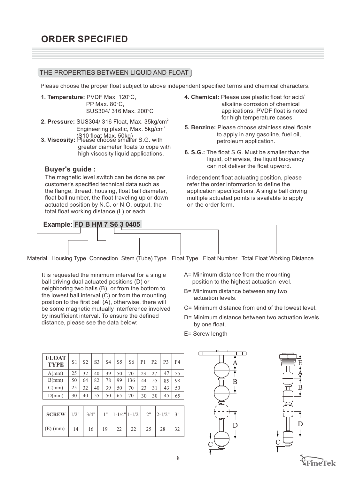#### THE PROPERTIES BETWEEN LIQUID AND FLOAT

Please choose the proper float subject to above independent specified terms and chemical characters.

- 1. Temperature: PVDF Max. 120°C, PP Max.  $80^{\circ}$ C. SUS304/316 Max. 200°C
- **2. Pressure:** SUS304/ 316 Float, Max. 35kg/cm<sup>2</sup> Engineering plastic, Max.  $5 \text{kg/cm}^2$
- (S10 float Max. 50kg)<br>**3. Viscosity:** Please choose smaller S.G. with greater diameter floats to cope with high viscosity liquid applications.

#### **Buyer's guide :**

The magnetic level switch can be done as per customer's specified technical data such as the flange, thread, housing, float ball diameter, float ball number, the float traveling up or down actuated position by N.C. or N.O. output, the total float working distance (L) or each

- **4. Chemical:** Please use plastic float for acid/ alkaline corrosion of chemical applications. PVDF float is noted for high temperature cases.
- **5. Benzine:** Please choose stainless steel floats to apply in any gasoline, fuel oil, petroleum application.
- **6. S.G.:** The float S.G. Must be smaller than the liquid, otherwise, the liquid buoyancy can not deliver the float upword.

independent float actuating position, please refer the order information to define the application specifications. A single ball driving multiple actuated points is available to apply on the order form.



Material Housing Type Connection Stem (Tube) Type Float Type Float Number Total Float Working Distance

It is requested the minimum interval for a single ball driving dual actuated positions (D) or neighboring two balls (B), or from the bottom to the lowest ball interval (C) or from the mounting position to the first ball (A), otherwise, there will be some magnetic mutually interference involved by insufficient interval. To ensure the defined distance, please see the data below:

- A= Minimum distance from the mounting position to the highest actuation level.
- B= Minimum distance between any two actuation levels.
- C= Minimum distance from end of the lowest level.
- D= Minimum distance between two actuation levels by one float.
- E= Screw length

| <b>FLOAT</b><br><b>TYPE</b> | S <sub>1</sub> | S <sub>2</sub> | S <sub>3</sub> | S <sub>4</sub> | S <sub>5</sub> | S6  | P <sub>1</sub> | P <sub>2</sub> | P <sub>3</sub> | F4 |
|-----------------------------|----------------|----------------|----------------|----------------|----------------|-----|----------------|----------------|----------------|----|
| A(mm)                       | 25             | 32             | 40             | 39             | 50             | 70  | 23             |                | 47             | 55 |
| B(mm)                       | 50             | 64             | 82             | 78             | 99             | 136 | 44             | 55             | 85             | 98 |
| C(mm)                       | 25             | 32             | 40             | 39             | 50             | 70  | 23             | 31             | 43             | 50 |
| D(mm)                       | 30             | 40             | 55             | 50             | 65             | 70  | 30             | 30             | 45             | 65 |

| $\vert$ SCREW $\vert$ 1/2" $\vert$ 3/4" $\vert$ 1" $\vert$ 1-1/4" $\vert$ 1-1/2" $\vert$ 2" $\vert$ 2-1/2" $\vert$ 3" |    |    |    |                                   |    |    |    |
|-----------------------------------------------------------------------------------------------------------------------|----|----|----|-----------------------------------|----|----|----|
| $(E)$ (mm)   14                                                                                                       | 16 | 19 | 22 | $\begin{array}{c} 22 \end{array}$ | 25 | 28 | 32 |



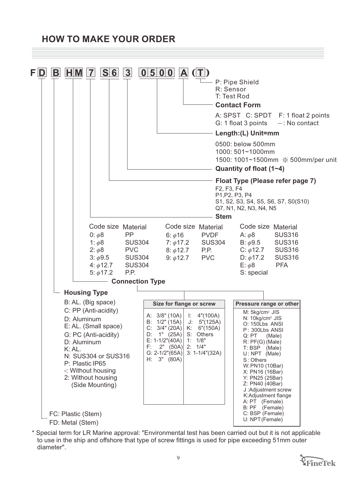# **HOW TO MAKE YOUR ORDER**



\* Special term for LR Marine approval: "Environmental test has been carried out but it is not applicable to use in the ship and offshore that type of screw fittings is used for pipe exceeding 51mm outer diameter".

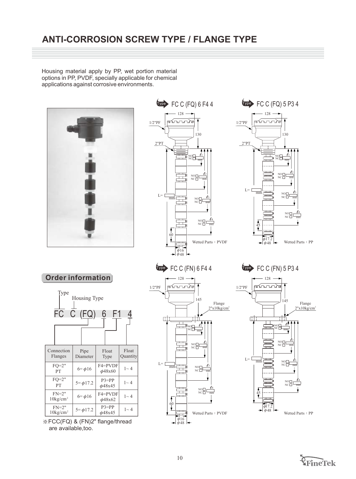# **ANTI-CORROSION SCREW TYPE / FLANGE TYPE**

Housing material apply by PP, wet portion material options in PP, PVDF, specially applicable for chemical applications against corrosive environments.







**Order information**







 $V^{\text{pe}}$  FC C (FN) 5 P3 4



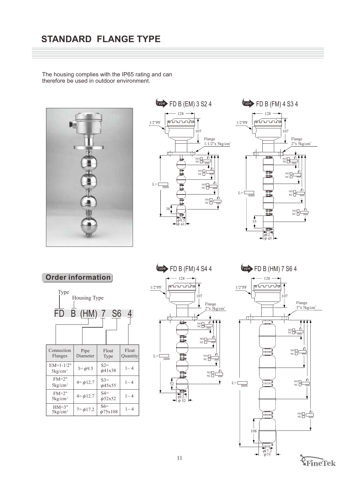# **STANDARD FLANGE TYPE**

The housing complies with the IP65 rating and can therefore be used in outdoor environment.







**Order information**





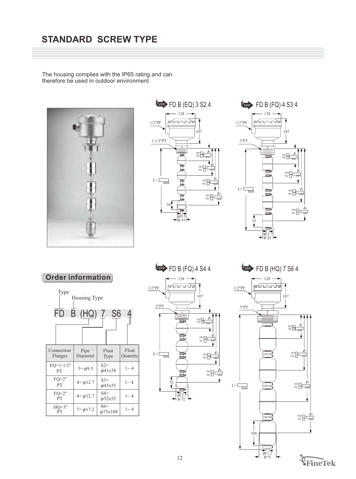# **STANDARD SCREW TYPE**

The housing complies with the IP65 rating and can therefore be used in outdoor environment.







**Order information**





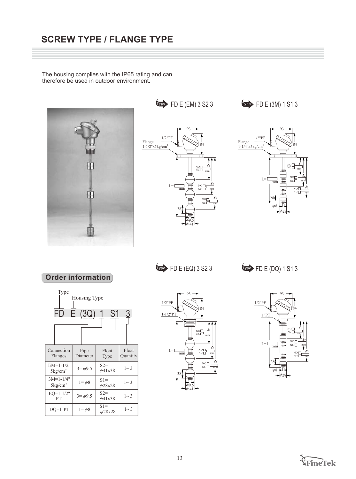The housing complies with the IP65 rating and can therefore be used in outdoor environment.



93

1

 $N$ C $\frac{\epsilon_1}{\epsilon_2}$ 

84

NO NC

NO NC

2

mm

3

mm

1/2"PF

Flange  $1 - 1/2$ "x5kg/cm

 $\overrightarrow{CP}$  FD E (EM) 3 S2 3  $\overrightarrow{CP}$  FD E (3M) 1 S1 3



**Order information**



 $\overrightarrow{CPP}$  FD E (EQ) 3 S2 3  $\overrightarrow{CPP}$  FD E (DQ) 1 S1 3

41 9.5

 $\phi$  $\ddot{\phi}$ 

mm  $L =$ 

38





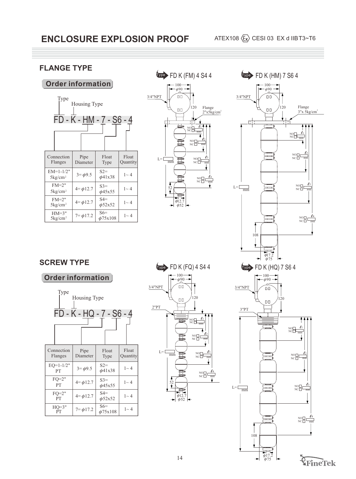# **FLANGE TYPE**

#### **Order information**

| Type<br>Housing Type<br>FD - K - HM - 7 - S6 - 4 |                 |                        |                   |  |  |  |
|--------------------------------------------------|-----------------|------------------------|-------------------|--|--|--|
| Connection<br>Pipe<br>Flanges<br>Diameter        |                 | Float<br>Type          | Float<br>Quantity |  |  |  |
| $EM=1-1/2"$<br>$5\,\mathrm{kg/cm^2}$             | $3 = \phi 9.5$  | $S2=$<br>$\phi$ 41x38  | $1 \sim 4$        |  |  |  |
| $FM=2"$<br>$5\mathrm{kg/cm^2}$                   | $4 = \phi 12.7$ | $S3=$<br>$\phi$ 45x55  | $1 \sim 4$        |  |  |  |
| $FM=2"$<br>$5\mathrm{kg/cm^2}$                   | $4 = \phi 12.7$ | $S4=$<br>$\phi$ 52x52  | $1 \sim 4$        |  |  |  |
| $HM=3"$<br>$5\mathrm{kg/cm^2}$                   | $7 = \phi 17.2$ | $S6=$<br>$\phi$ 75x108 | $1 \sim 4$        |  |  |  |





# **SCREW TYPE**

# **Order information**





**FlneTek**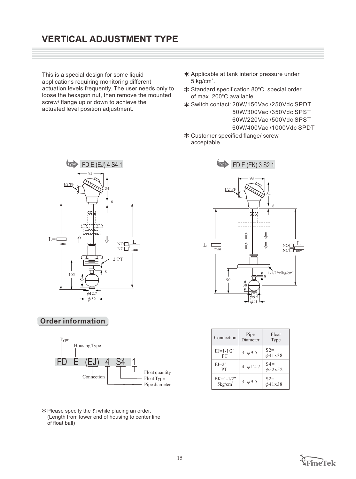# **VERTICAL ADJUSTMENT TYPE**

This is a special design for some liquid applications requiring monitoring different actuation levels frequently. The user needs only to loose the hexagon nut, then remove the mounted screw/ flange up or down to achieve the actuated level position adjustment.

- Applicable at tank interior pressure under  $5 \text{ kg/cm}^2$ .
- $*$  Standard specification 80 $°C$ , special order of max. 200°C available.
- Switch contact: 20W/150Vac /250Vdc SPDT 50W/300Vac /350Vdc SPST 60W/220Vac /500Vdc SPST 60W/400Vac /1000Vdc SPDT
- Customer specified flange/ screw acceptable.



#### **Order information**



 $*$  Please specify the  $\ell_1$  while placing an order. (Length from lower end of housing to center line of float ball)



| Connection                         | Pipe<br>Diameter | Float<br>Type         |
|------------------------------------|------------------|-----------------------|
| $E J = 1 - 1/2"$<br>PT             | $3 = \phi 9.5$   | $S2=$<br>$\phi$ 41x38 |
| $FI=2"$<br>PT                      | $4 = \phi 12.7$  | $S4=$<br>$\phi$ 52x52 |
| $EK=1-1/2"$<br>5kg/cm <sup>2</sup> | $3 = \phi 9.5$   | $S2=$<br>$\phi$ 41x38 |

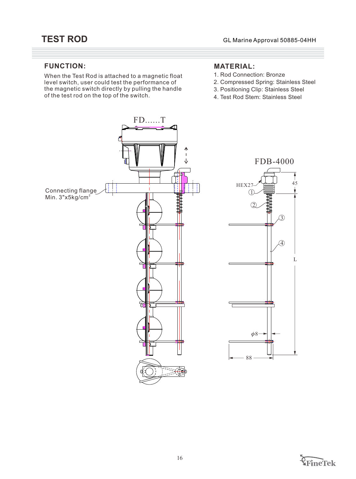#### **FUNCTION:**

When the Test Rod is attached to a magnetic float level switch, user could test the performance of the magnetic switch directly by pulling the handle of the test rod on the top of the switch.

## **MATERIAL:**

- 1. Rod Connection: Bronze
- 2. Compressed Spring: Stainless Steel
- 3. Positioning Clip: Stainless Steel
- 4. Test Rod Stem: Stainless Steel





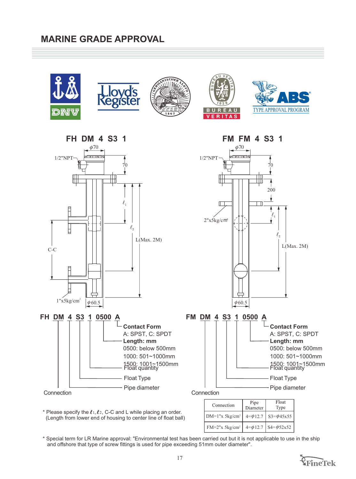# **MARINE GRADE APPROVAL**









**FH DM 4 S3 1 FM FM 4 S3 1**  $\phi$ 70 70 ╥

**Contact Form** A: SPST, C: SPDT **Length: mm** 0500: below 500mm 1000: 501~1000mm

Float Type Pipe diameter

1500: 1001~1500mm Float quantity



 $\ell_{\scriptscriptstyle 1}$ 

**FH DM 4 S3 1 0500 A**

 $1"x5kg/cm<sup>2</sup>$  |  $\phi$ 

 $\phi$  60.5

**Connection** 

C-C

1/2"NPT

╫╫

 $\overline{\mathsf{L}}$ 



**FM DM 4 S3 1 0500 A**



**Connection** 

| Connection                                                       | Pipe<br>Diameter | Float<br>Type |
|------------------------------------------------------------------|------------------|---------------|
| DM=1"x 5kg/cm <sup>2</sup>   $4=$ $\phi$ 12.7   S3= $\phi$ 45x55 |                  |               |
| FM=2"x 5kg/cm <sup>2</sup>   $4=$ $\phi$ 12.7   S4= $\phi$ 52x52 |                  |               |

\* Please specify the  $\ell$ 1,  $\ell$ 2, C-C and L while placing an order. (Length from lower end of housing to center line of float ball)

\* Special term for LR Marine approval: "Environmental test has been carried out but it is not applicable to use in the ship and offshore that type of screw fittings is used for pipe exceeding 51mm outer diameter".

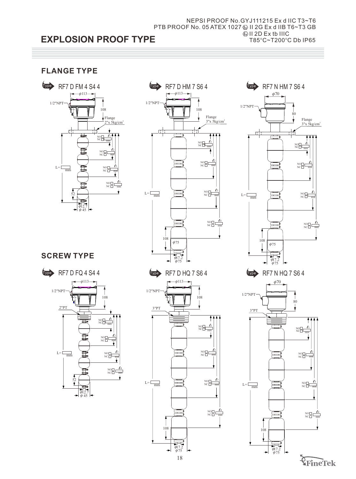#### **EXPLOSION PROOF TYPE** PTB PROOF No. 05 ATEX 1027 @ II 2G Ex d IIB T6~T3 GB NEPSI PROOF No.GYJ111215 Ex d IIC T3~T6  $\textcircled{k}$  II 2D Ex tb IIIC T85°C~T200°C Db IP65

# **FLANGE TYPE**







# **SCREW TYPE**





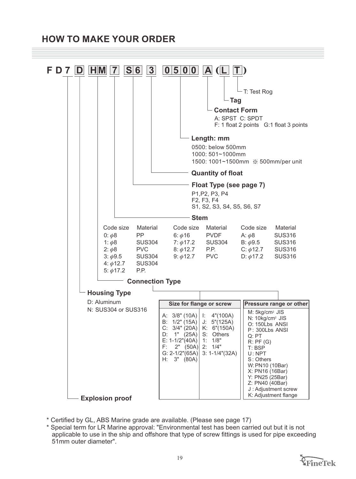# **HOW TO MAKE YOUR ORDER**



<sup>\*</sup> Certified by GL, ABS Marine grade are available. (Please see page 17)

<sup>\*</sup> Special term for LR Marine approval: "Environmental test has been carried out but it is not applicable to use in the ship and offshore that type of screw fittings is used for pipe exceeding 51mm outer diameter".

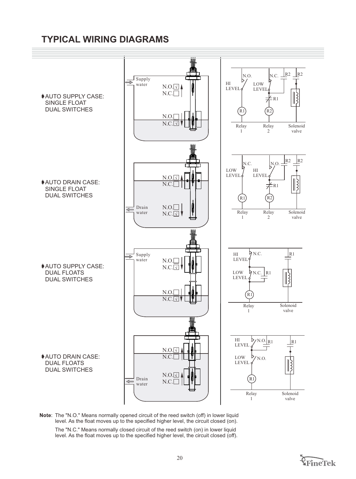# **TYPICAL WIRING DIAGRAMS**



Note: The "N.O." Means normally opened circuit of the reed switch (off) in lower liquid level. As the float moves up to the specified higher level, the circuit closed (on).

The "N.C." Means normally closed circuit of the reed switch (on) in lower liquid level. As the float moves up to the specified higher level, the circuit closed (off).

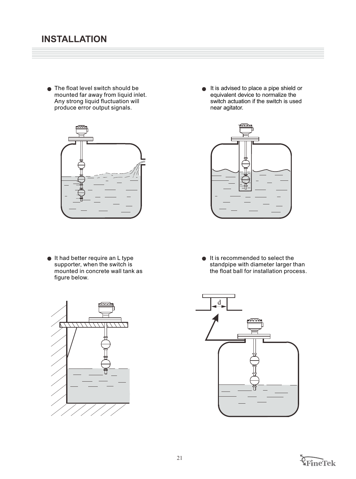● The float level switch should be mounted far away from liquid inlet. Any strong liquid fluctuation will produce error output signals.



 $\bullet$  It had better require an L type supporter, when the switch is mounted in concrete wall tank as figure below.

It is advised to place a pipe shield or  $\bullet$ equivalent device to normalize the switch actuation if the switch is used near agitator.



 $\bullet$  It is recommended to select the standpipe with diameter larger than the float ball for installation process.





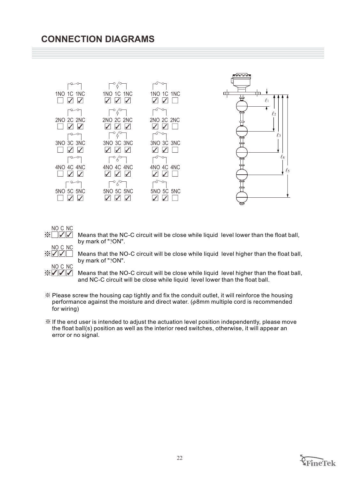# **CONNECTION DIAGRAMS**





Means that the NC-C circuit will be close while liquid level lower than the float ball, by mark of "?ON".

Means that the NO-C circuit will be close while liquid level higher than the float ball, by mark of "?ON".

**NO C NC**<br> $\frac{N}{N}$ Means that the NO-C circuit will be close while liquid level higher than the float ball, and NC-C circuit will be close while liquid level lower than the float ball.

- $\mathcal X$  Please screw the housing cap tightly and fix the conduit outlet, it will reinforce the housing performance against the moisture and direct water.  $(\phi 8$ mm multiple cord is recommended for wiring)
- $\mathcal K$  If the end user is intended to adjust the actuation level position independently, please move the float ball(s) position as well as the interior reed switches, otherwise, it will appear an error or no signal.